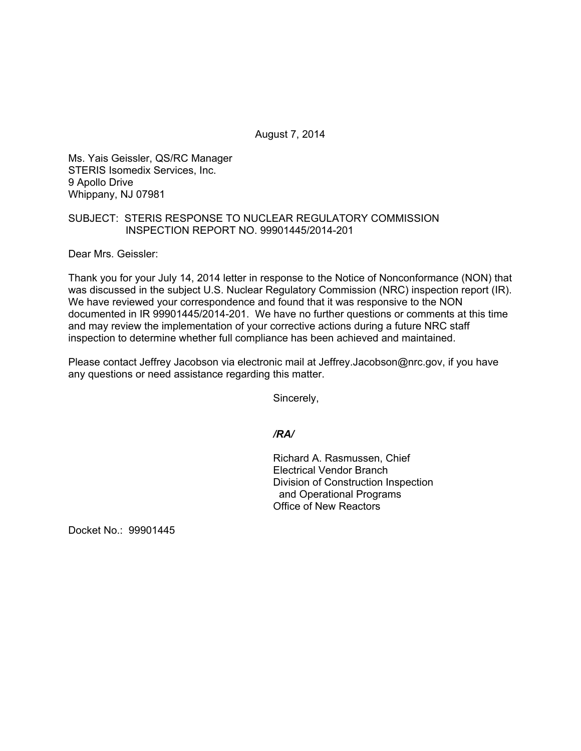August 7, 2014

Ms. Yais Geissler, QS/RC Manager STERIS Isomedix Services, Inc. 9 Apollo Drive Whippany, NJ 07981

## SUBJECT: STERIS RESPONSE TO NUCLEAR REGULATORY COMMISSION INSPECTION REPORT NO. 99901445/2014-201

Dear Mrs. Geissler:

Thank you for your July 14, 2014 letter in response to the Notice of Nonconformance (NON) that was discussed in the subject U.S. Nuclear Regulatory Commission (NRC) inspection report (IR). We have reviewed your correspondence and found that it was responsive to the NON documented in IR 99901445/2014-201. We have no further questions or comments at this time and may review the implementation of your corrective actions during a future NRC staff inspection to determine whether full compliance has been achieved and maintained.

Please contact Jeffrey Jacobson via electronic mail at Jeffrey.Jacobson@nrc.gov, if you have any questions or need assistance regarding this matter.

Sincerely,

*/RA/* 

Richard A. Rasmussen, Chief Electrical Vendor Branch Division of Construction Inspection and Operational Programs Office of New Reactors

Docket No.: 99901445